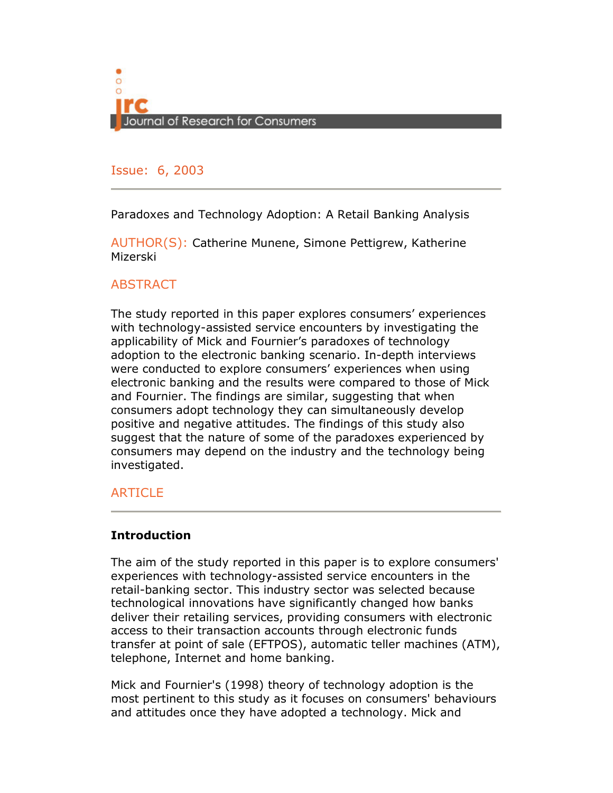

# Issue: 6, 2005 Issue: 6, 2003

Paradoxes and Technology Adoption: A Retail Banking Analysis

AUTHOR(S): Catherine Munene, Simone Pettigrew, Katherine Mizerski

# **ABSTRACT**

The study reported in this paper explores consumers' experiences with technology-assisted service encounters by investigating the applicability of Mick and Fournier's paradoxes of technology adoption to the electronic banking scenario. In-depth interviews were conducted to explore consumers' experiences when using electronic banking and the results were compared to those of Mick and Fournier. The findings are similar, suggesting that when consumers adopt technology they can simultaneously develop positive and negative attitudes. The findings of this study also suggest that the nature of some of the paradoxes experienced by consumers may depend on the industry and the technology being investigated.

# **ARTICLE**

# Introduction

The aim of the study reported in this paper is to explore consumers' experiences with technology-assisted service encounters in the retail-banking sector. This industry sector was selected because technological innovations have significantly changed how banks deliver their retailing services, providing consumers with electronic access to their transaction accounts through electronic funds transfer at point of sale (EFTPOS), automatic teller machines (ATM), telephone, Internet and home banking.

Mick and Fournier's (1998) theory of technology adoption is the most pertinent to this study as it focuses on consumers' behaviours and attitudes once they have adopted a technology. Mick and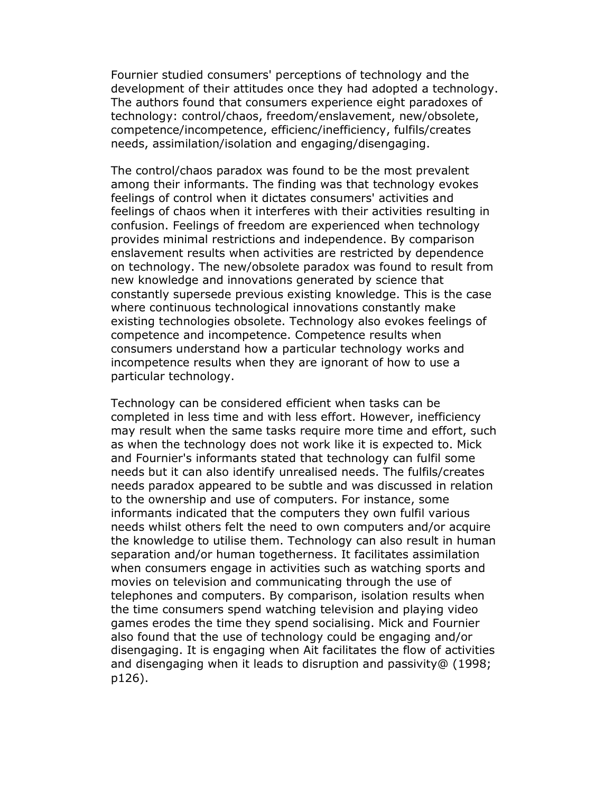Fournier studied consumers' perceptions of technology and the development of their attitudes once they had adopted a technology. The authors found that consumers experience eight paradoxes of technology: control/chaos, freedom/enslavement, new/obsolete, competence/incompetence, efficienc/inefficiency, fulfils/creates needs, assimilation/isolation and engaging/disengaging.

The control/chaos paradox was found to be the most prevalent among their informants. The finding was that technology evokes feelings of control when it dictates consumers' activities and feelings of chaos when it interferes with their activities resulting in confusion. Feelings of freedom are experienced when technology provides minimal restrictions and independence. By comparison enslavement results when activities are restricted by dependence on technology. The new/obsolete paradox was found to result from new knowledge and innovations generated by science that constantly supersede previous existing knowledge. This is the case where continuous technological innovations constantly make existing technologies obsolete. Technology also evokes feelings of competence and incompetence. Competence results when consumers understand how a particular technology works and incompetence results when they are ignorant of how to use a particular technology.

Technology can be considered efficient when tasks can be completed in less time and with less effort. However, inefficiency may result when the same tasks require more time and effort, such as when the technology does not work like it is expected to. Mick and Fournier's informants stated that technology can fulfil some needs but it can also identify unrealised needs. The fulfils/creates needs paradox appeared to be subtle and was discussed in relation to the ownership and use of computers. For instance, some informants indicated that the computers they own fulfil various needs whilst others felt the need to own computers and/or acquire the knowledge to utilise them. Technology can also result in human separation and/or human togetherness. It facilitates assimilation when consumers engage in activities such as watching sports and movies on television and communicating through the use of telephones and computers. By comparison, isolation results when the time consumers spend watching television and playing video games erodes the time they spend socialising. Mick and Fournier also found that the use of technology could be engaging and/or disengaging. It is engaging when Ait facilitates the flow of activities and disengaging when it leads to disruption and passivity@ (1998; p126).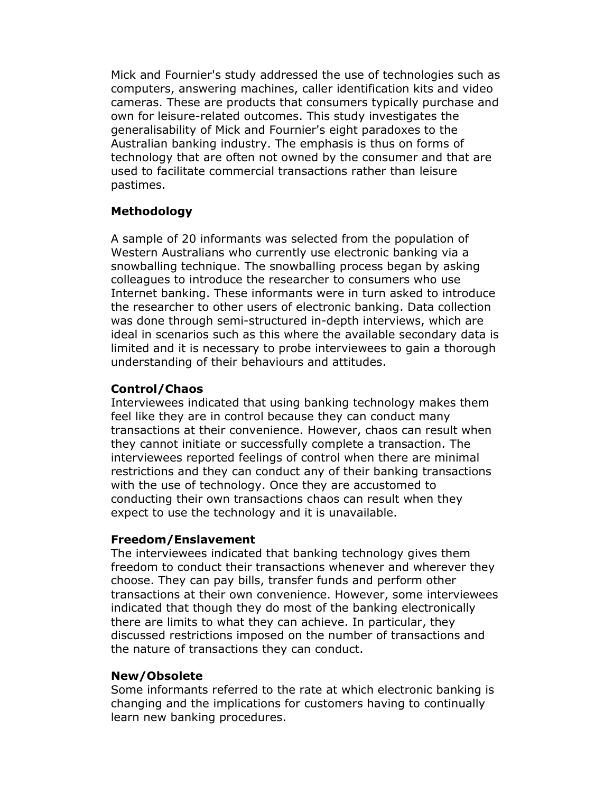Mick and Fournier's study addressed the use of technologies such as computers, answering machines, caller identification kits and video cameras. These are products that consumers typically purchase and own for leisure-related outcomes. This study investigates the generalisability of Mick and Fournier's eight paradoxes to the Australian banking industry. The emphasis is thus on forms of technology that are often not owned by the consumer and that are used to facilitate commercial transactions rather than leisure pastimes.

# Methodology

A sample of 20 informants was selected from the population of Western Australians who currently use electronic banking via a snowballing technique. The snowballing process began by asking colleagues to introduce the researcher to consumers who use Internet banking. These informants were in turn asked to introduce the researcher to other users of electronic banking. Data collection was done through semi-structured in-depth interviews, which are ideal in scenarios such as this where the available secondary data is limited and it is necessary to probe interviewees to gain a thorough understanding of their behaviours and attitudes.

#### Control/Chaos

Interviewees indicated that using banking technology makes them feel like they are in control because they can conduct many transactions at their convenience. However, chaos can result when they cannot initiate or successfully complete a transaction. The interviewees reported feelings of control when there are minimal restrictions and they can conduct any of their banking transactions with the use of technology. Once they are accustomed to conducting their own transactions chaos can result when they expect to use the technology and it is unavailable.

#### Freedom/Enslavement

The interviewees indicated that banking technology gives them freedom to conduct their transactions whenever and wherever they choose. They can pay bills, transfer funds and perform other transactions at their own convenience. However, some interviewees indicated that though they do most of the banking electronically there are limits to what they can achieve. In particular, they discussed restrictions imposed on the number of transactions and the nature of transactions they can conduct.

#### New/Obsolete

Some informants referred to the rate at which electronic banking is changing and the implications for customers having to continually learn new banking procedures.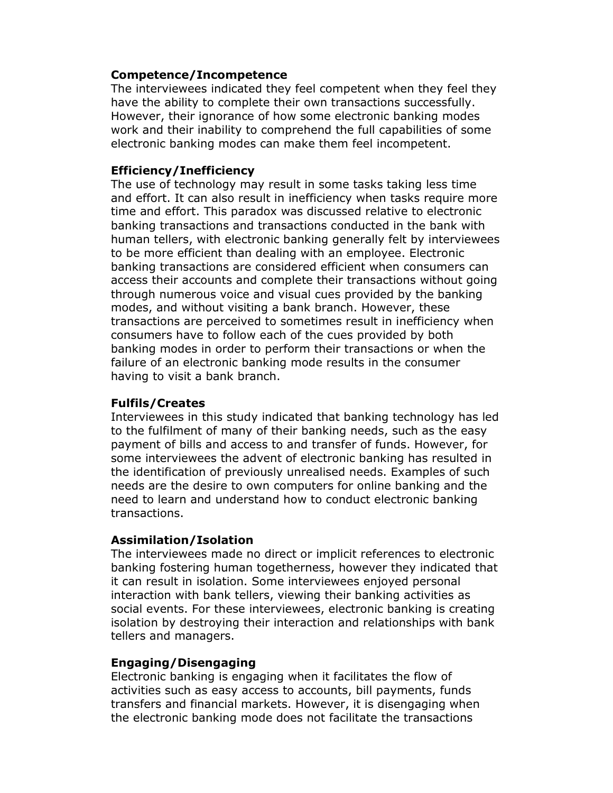#### Competence/Incompetence

The interviewees indicated they feel competent when they feel they have the ability to complete their own transactions successfully. However, their ignorance of how some electronic banking modes work and their inability to comprehend the full capabilities of some electronic banking modes can make them feel incompetent.

#### Efficiency/Inefficiency

The use of technology may result in some tasks taking less time and effort. It can also result in inefficiency when tasks require more time and effort. This paradox was discussed relative to electronic banking transactions and transactions conducted in the bank with human tellers, with electronic banking generally felt by interviewees to be more efficient than dealing with an employee. Electronic banking transactions are considered efficient when consumers can access their accounts and complete their transactions without going through numerous voice and visual cues provided by the banking modes, and without visiting a bank branch. However, these transactions are perceived to sometimes result in inefficiency when consumers have to follow each of the cues provided by both banking modes in order to perform their transactions or when the failure of an electronic banking mode results in the consumer having to visit a bank branch.

# Fulfils/Creates

Interviewees in this study indicated that banking technology has led to the fulfilment of many of their banking needs, such as the easy payment of bills and access to and transfer of funds. However, for some interviewees the advent of electronic banking has resulted in the identification of previously unrealised needs. Examples of such needs are the desire to own computers for online banking and the need to learn and understand how to conduct electronic banking transactions.

#### Assimilation/Isolation

The interviewees made no direct or implicit references to electronic banking fostering human togetherness, however they indicated that it can result in isolation. Some interviewees enjoyed personal interaction with bank tellers, viewing their banking activities as social events. For these interviewees, electronic banking is creating isolation by destroying their interaction and relationships with bank tellers and managers.

# Engaging/Disengaging

Electronic banking is engaging when it facilitates the flow of activities such as easy access to accounts, bill payments, funds transfers and financial markets. However, it is disengaging when the electronic banking mode does not facilitate the transactions